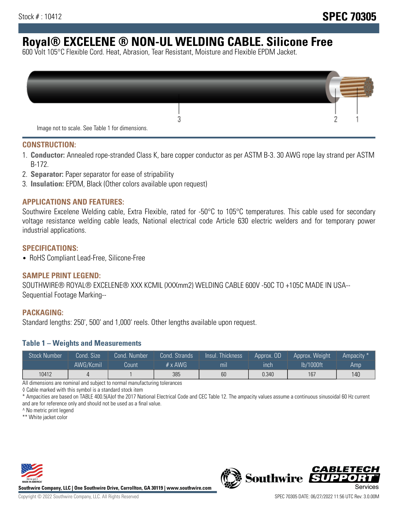# **Royal® EXCELENE ® NON-UL WELDING CABLE. Silicone Free**

600 Volt 105°C Flexible Cord. Heat, Abrasion, Tear Resistant, Moisture and Flexible EPDM Jacket.

| Image not to scale. See Table 1 for dimensions. |  |
|-------------------------------------------------|--|

#### **CONSTRUCTION:**

- 1. **Conductor:** Annealed rope-stranded Class K, bare copper conductor as per ASTM B-3. 30 AWG rope lay strand per ASTM B-172.
- 2. **Separator:** Paper separator for ease of stripability
- 3. **Insulation:** EPDM, Black (Other colors available upon request)

#### **APPLICATIONS AND FEATURES:**

Southwire Excelene Welding cable, Extra Flexible, rated for -50°C to 105°C temperatures. This cable used for secondary voltage resistance welding cable leads, National electrical code Article 630 electric welders and for temporary power industrial applications.

#### **SPECIFICATIONS:**

• RoHS Compliant Lead-Free, Silicone-Free

#### **SAMPLE PRINT LEGEND:**

SOUTHWIRE® ROYAL® EXCELENE® XXX KCMIL (XXXmm2) WELDING CABLE 600V -50C TO +105C MADE IN USA-- Sequential Footage Marking--

#### **PACKAGING:**

Standard lengths: 250', 500' and 1,000' reels. Other lengths available upon request.

#### **Table 1 – Weights and Measurements**

| <b>Stock Number</b> | Cond. Size | Cond. Number | Cond. Strands  | Insul. Thickness | Approx. OD | Approx. Weight | "Ampacity" |
|---------------------|------------|--------------|----------------|------------------|------------|----------------|------------|
|                     | AWG/Kcmil  | Count        | # $\times$ AWG | mıl              | ınch       | lb/1000ft      | Amp        |
| 10412               |            |              | 385            | 60               | 0.340      | 167            | 140        |

All dimensions are nominal and subject to normal manufacturing tolerances

◊ Cable marked with this symbol is a standard stock item

\* Ampacities are based on TABLE 400.5(A)of the 2017 National Electrical Code and CEC Table 12. The ampacity values assume a continuous sinusoidal 60 Hz current and are for reference only and should not be used as a final value.

^ No metric print legend

\*\* White jacket color



**Southwire Company, LLC | One Southwire Drive, Carrollton, GA 30119 | www.southwire.com**



*CABLETE*